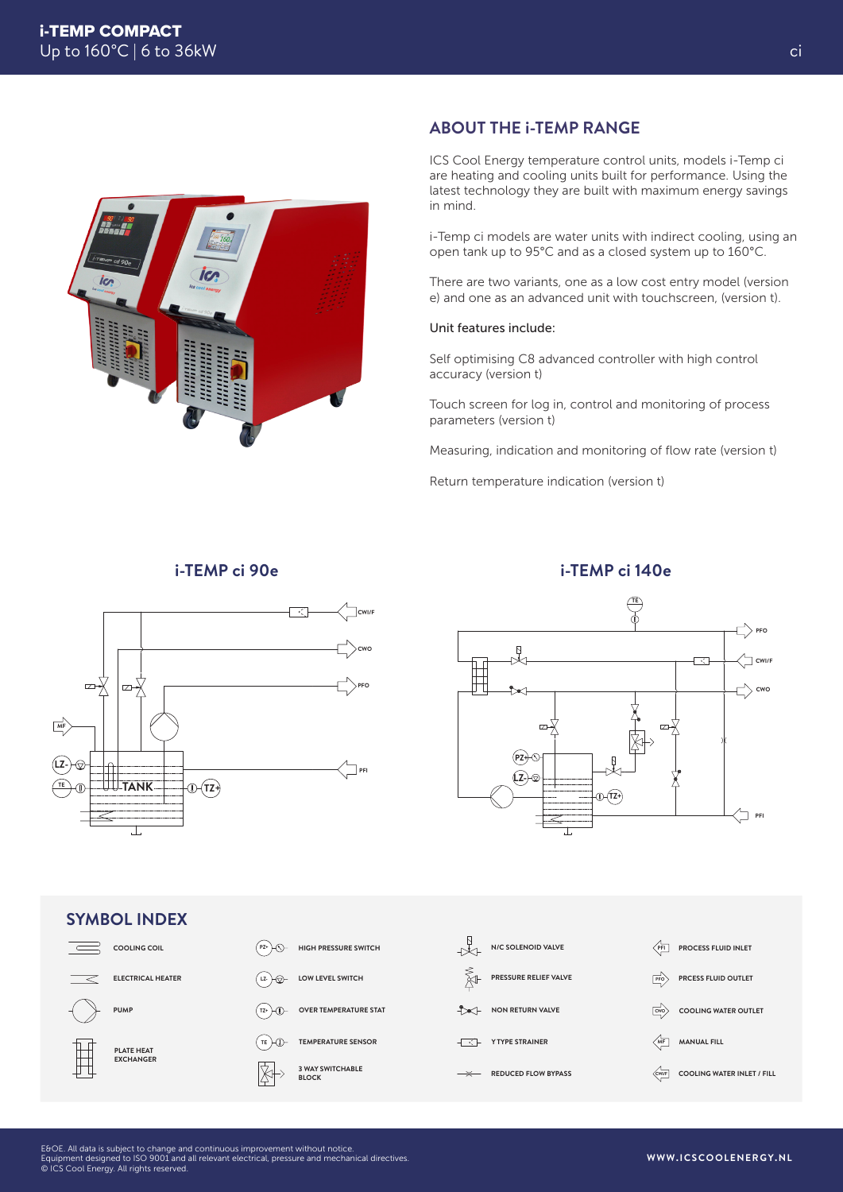

## **ABOUT THE i-TEMP RANGE**

ICS Cool Energy temperature control units, models i-Temp ci are heating and cooling units built for performance. Using the latest technology they are built with maximum energy savings in mind.

i-Temp ci models are water units with indirect cooling, using an open tank up to 95°C and as a closed system up to 160°C.

There are two variants, one as a low cost entry model (version e) and one as an advanced unit with touchscreen, (version t).

#### Unit features include:

Self optimising C8 advanced controller with high control accuracy (version t)

Touch screen for log in, control and monitoring of process parameters (version t)

Measuring, indication and monitoring of flow rate (version t)

Return temperature indication (version t)

### **i-TEMP ci 90e**





#### **SYMBOL INDEX COOLING COIL N/C SOLENOID VALVE**  $\overline{\phantom{a}}$ **PZ+ HIGH PRESSURE SWITCH PFI PROCESS FLUID INLET PRESSURE RELIEF VALVE ELECTRICAL HEATER LZ-LOW LEVEL SWITCH** 科 **PFO PRCESS FLUID OUTLET PUMP**  $(TZ+)$ **OVER TEMPERATURE STAT NON RETURN VALVE CWO COOLING WATER OUTLET**  $(TE)$ **TEMPERATURE SENSOR T MF MANUAL FILL PLATE HEAT EXCHANGER 3 WAY SWITCHABLE BLOCK REDUCED FLOW BYPASS CWI/F COOLING WATER INLET / FILL**

**i-TEMP ci 140e**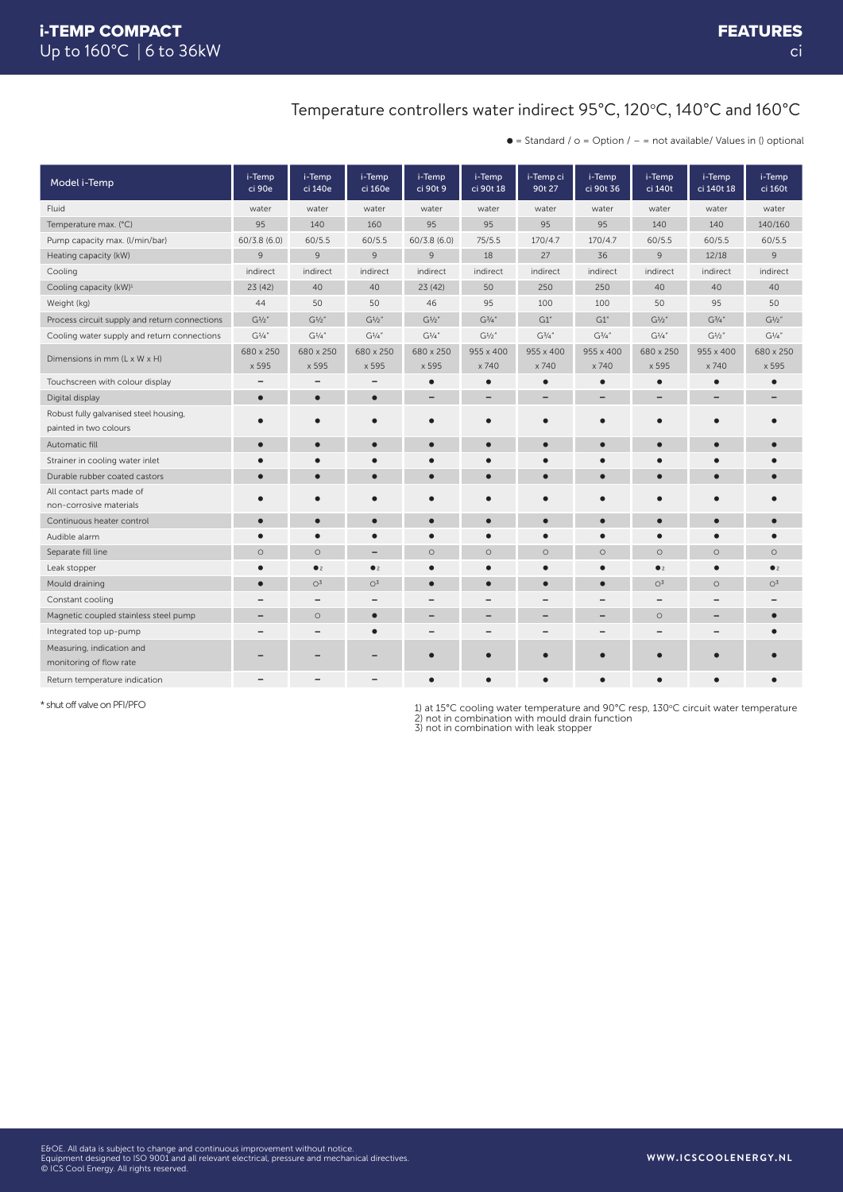### Temperature controllers water indirect 95°C, 120°C, 140°C and 160°C

 $\bullet$  = Standard /  $\circ$  = Option / - = not available/ Values in () optional

| Model i-Temp                                                     | i-Temp<br>ci 90e   | i-Temp<br>ci 140e        | i-Temp<br>ci 160e  | i-Temp<br>ci 90t 9 | i-Temp<br>ci 90t 18 | i-Temp ci<br>90t 27 | i-Temp<br>ci 90t 36 | i-Temp<br>ci 140t  | i-Temp<br>ci 140t 18 | i-Temp<br>ci 160t  |
|------------------------------------------------------------------|--------------------|--------------------------|--------------------|--------------------|---------------------|---------------------|---------------------|--------------------|----------------------|--------------------|
| Fluid                                                            | water              | water                    | water              | water              | water               | water               | water               | water              | water                | water              |
| Temperature max. (°C)                                            | 95                 | 140                      | 160                | 95                 | 95                  | 95                  | 95                  | 140                | 140                  | 140/160            |
| Pump capacity max. (I/min/bar)                                   | 60/3.8(6.0)        | 60/5.5                   | 60/5.5             | 60/3.8(6.0)        | 75/5.5              | 170/4.7             | 170/4.7             | 60/5.5             | 60/5.5               | 60/5.5             |
| Heating capacity (kW)                                            | 9                  | 9                        | $\overline{9}$     | $\overline{9}$     | 18                  | 27                  | 36                  | $\overline{9}$     | 12/18                | $\overline{9}$     |
| Cooling                                                          | indirect           | indirect                 | indirect           | indirect           | indirect            | indirect            | indirect            | indirect           | indirect             | indirect           |
| Cooling capacity (kW) <sup>1</sup>                               | 23(42)             | 40                       | 40                 | 23(42)             | 50                  | 250                 | 250                 | 40                 | 40                   | 40                 |
| Weight (kg)                                                      | 44                 | 50                       | 50                 | 46                 | 95                  | 100                 | 100                 | 50                 | 95                   | 50                 |
| Process circuit supply and return connections                    | $G^{1/2}$          | $G^{1/2}$                | $G^{1/2}$          | $G^{1/2}$          | $G^{3/4}$ "         | G1''                | G1''                | $G^{1/2}$          | $G^{3/4"$            | $G^{1/2}$          |
| Cooling water supply and return connections                      | $G^{1/4}$          | $G^{1/4''}$              | $G^{1/4}$          | $G^{1/4"$          | $G^{1/2}$           | $G^{3/4"$           | $G^{3/4"}$          | $G^{1/4}$          | $G^{1/2"}$           | $G^{1/4}$          |
| Dimensions in mm (L x W x H)                                     | 680 x 250<br>x 595 | 680 x 250<br>x 595       | 680 x 250<br>x 595 | 680 x 250<br>x 595 | 955 x 400<br>x 740  | 955 x 400<br>x 740  | 955 x 400<br>x 740  | 680 x 250<br>x 595 | 955 x 400<br>x 740   | 680 x 250<br>x 595 |
| Touchscreen with colour display                                  |                    | ٠                        |                    | с                  |                     | $\bullet$           | $\epsilon$          |                    | $\bullet$            |                    |
| Digital display                                                  | $\bullet$          | $\bullet$                |                    |                    |                     | -                   |                     |                    |                      |                    |
| Robust fully galvanised steel housing,<br>painted in two colours | $\bullet$          | ٠                        |                    | ٠                  | $\bullet$           | $\bullet$           | $\bullet$           |                    | ٠                    |                    |
| Automatic fill                                                   | $\bullet$          | $\bullet$                |                    |                    |                     | $\bullet$           | О                   |                    | $\bullet$            |                    |
| Strainer in cooling water inlet                                  |                    |                          |                    |                    |                     |                     |                     |                    |                      |                    |
| Durable rubber coated castors                                    | $\bullet$          | $\bullet$                |                    | $\bullet$          | $\bullet$           | $\bullet$           | $\bullet$           | $\bullet$          | $\bullet$            |                    |
| All contact parts made of<br>non-corrosive materials             |                    |                          |                    |                    |                     |                     |                     |                    |                      |                    |
| Continuous heater control                                        | $\bullet$          | $\bullet$                |                    |                    |                     | $\bullet$           | $\bullet$           |                    | $\bullet$            |                    |
| Audible alarm                                                    | $\bullet$          | $\bullet$                |                    | с                  |                     | $\bullet$           | $\bullet$           |                    | $\bullet$            |                    |
| Separate fill line                                               | $\circ$            | $\circ$                  |                    | $\circ$            | $\circ$             | $\circ$             | $\circ$             | $\circ$            | $\circ$              | $\circ$            |
| Leak stopper                                                     |                    | $2$                      | • <sub>2</sub>     |                    |                     | $\bullet$           |                     | $2$                | $\bullet$            | $\bullet$          |
| Mould draining                                                   | $\bullet$          | O <sup>3</sup>           | O <sup>3</sup>     | $\bullet$          |                     | $\bullet$           | $\bullet$           | $\bigcirc^3$       | $\circ$              | $\bigcirc^3$       |
| Constant cooling                                                 |                    |                          |                    |                    |                     |                     |                     |                    |                      |                    |
| Magnetic coupled stainless steel pump                            |                    | $\circ$                  |                    | -                  |                     | -                   | $\qquad \qquad$     | $\circ$            | -                    |                    |
| Integrated top up-pump                                           |                    | $\overline{\phantom{0}}$ |                    |                    |                     |                     |                     |                    |                      |                    |
| Measuring, indication and<br>monitoring of flow rate             |                    |                          |                    |                    |                     |                     |                     |                    |                      |                    |
| Return temperature indication                                    |                    |                          |                    |                    |                     | $\bullet$           |                     |                    |                      |                    |

\* shut off valve on PFI/PFO

1) at 15°C cooling water temperature and 90°C resp, 130°C circuit water temperature<br>2) not in combination with mould drain function<br>3) not in combination with leak stopper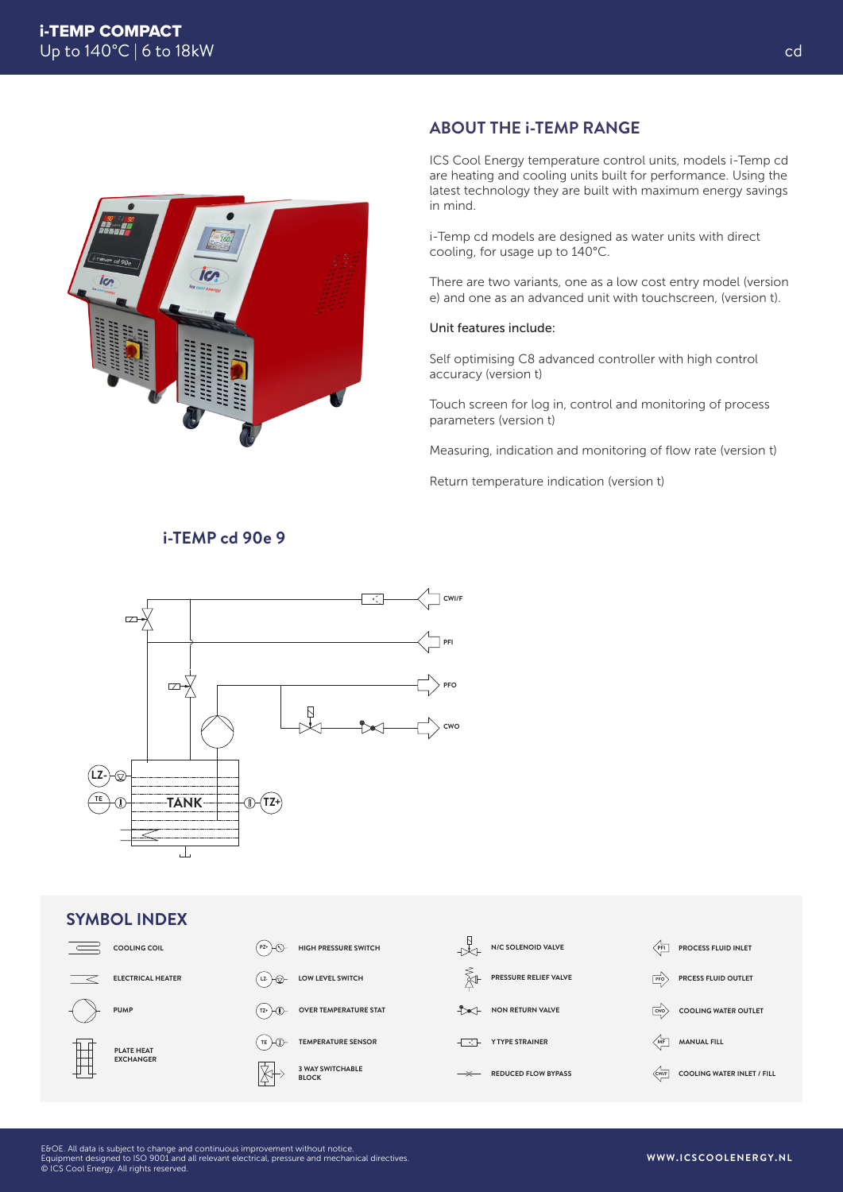

## **ABOUT THE i-TEMP RANGE**

ICS Cool Energy temperature control units, models i-Temp cd are heating and cooling units built for performance. Using the latest technology they are built with maximum energy savings in mind.

i-Temp cd models are designed as water units with direct cooling, for usage up to 140°C.

There are two variants, one as a low cost entry model (version e) and one as an advanced unit with touchscreen, (version t).

#### Unit features include:

Self optimising C8 advanced controller with high control accuracy (version t)

Touch screen for log in, control and monitoring of process parameters (version t)

Measuring, indication and monitoring of flow rate (version t)

Return temperature indication (version t)



#### **SYMBOL INDEX COOLING COIL N/C SOLENOID VALVE**  $\overline{\phantom{a}}$ **PZ+ HIGH PRESSURE SWITCH PFI PROCESS FLUID INLET PRESSURE RELIEF VALVE ELECTRICAL HEATER LOW LEVEL SWITCH Lz-** → <del><sub>∞</sub></del> **PFO PRCESS FLUID OUTLET PUMP**  $(TZ+)$ **OVER TEMPERATURE STAT NON RETURN VALVE CWO COOLING WATER OUTLET**  $(TE)$ **TEMPERATURE SENSOR T MF MANUAL FILL PLATE HEAT EXCHANGER 3 WAY SWITCHABLE BLOCK REDUCED FLOW BYPASS CWI/F COOLING WATER INLET / FILL**

## **i-TEMP cd 90e 9**